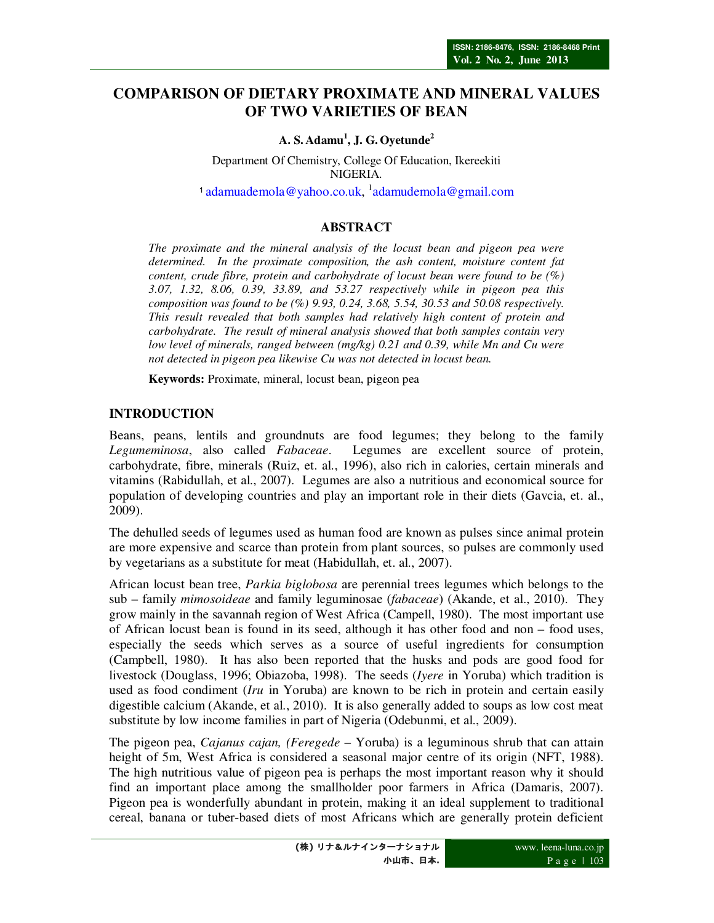# **COMPARISON OF DIETARY PROXIMATE AND MINERAL VALUES OF TWO VARIETIES OF BEAN**

## **A. S. Adamu<sup>1</sup> , J. G. Oyetunde<sup>2</sup>**

Department Of Chemistry, College Of Education, Ikereekiti NIGERIA. <sup>1</sup> adamuademola@yahoo.co.uk, <sup>1</sup>adamudemola@gmail.com

## **ABSTRACT**

*The proximate and the mineral analysis of the locust bean and pigeon pea were determined. In the proximate composition, the ash content, moisture content fat content, crude fibre, protein and carbohydrate of locust bean were found to be (%) 3.07, 1.32, 8.06, 0.39, 33.89, and 53.27 respectively while in pigeon pea this composition was found to be (%) 9.93, 0.24, 3.68, 5.54, 30.53 and 50.08 respectively. This result revealed that both samples had relatively high content of protein and carbohydrate. The result of mineral analysis showed that both samples contain very low level of minerals, ranged between (mg/kg) 0.21 and 0.39, while Mn and Cu were not detected in pigeon pea likewise Cu was not detected in locust bean.* 

**Keywords:** Proximate, mineral, locust bean, pigeon pea

# **INTRODUCTION**

Beans, peans, lentils and groundnuts are food legumes; they belong to the family *Legumeminosa*, also called *Fabaceae*. Legumes are excellent source of protein, carbohydrate, fibre, minerals (Ruiz, et. al., 1996), also rich in calories, certain minerals and vitamins (Rabidullah, et al., 2007). Legumes are also a nutritious and economical source for population of developing countries and play an important role in their diets (Gavcia, et. al., 2009).

The dehulled seeds of legumes used as human food are known as pulses since animal protein are more expensive and scarce than protein from plant sources, so pulses are commonly used by vegetarians as a substitute for meat (Habidullah, et. al., 2007).

African locust bean tree, *Parkia biglobosa* are perennial trees legumes which belongs to the sub – family *mimosoideae* and family leguminosae (*fabaceae*) (Akande, et al., 2010). They grow mainly in the savannah region of West Africa (Campell, 1980). The most important use of African locust bean is found in its seed, although it has other food and non – food uses, especially the seeds which serves as a source of useful ingredients for consumption (Campbell, 1980). It has also been reported that the husks and pods are good food for livestock (Douglass, 1996; Obiazoba, 1998). The seeds (*Iyere* in Yoruba) which tradition is used as food condiment (*Iru* in Yoruba) are known to be rich in protein and certain easily digestible calcium (Akande, et al., 2010). It is also generally added to soups as low cost meat substitute by low income families in part of Nigeria (Odebunmi, et al., 2009).

The pigeon pea, *Cajanus cajan, (Feregede* – Yoruba) is a leguminous shrub that can attain height of 5m, West Africa is considered a seasonal major centre of its origin (NFT, 1988). The high nutritious value of pigeon pea is perhaps the most important reason why it should find an important place among the smallholder poor farmers in Africa (Damaris, 2007). Pigeon pea is wonderfully abundant in protein, making it an ideal supplement to traditional cereal, banana or tuber-based diets of most Africans which are generally protein deficient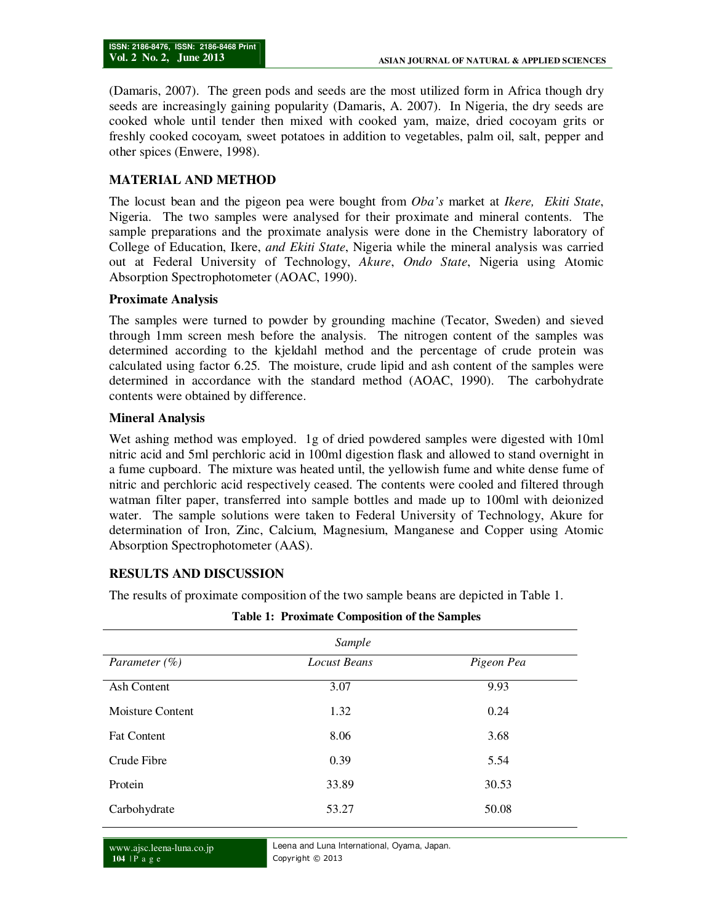(Damaris, 2007). The green pods and seeds are the most utilized form in Africa though dry seeds are increasingly gaining popularity (Damaris, A. 2007). In Nigeria, the dry seeds are cooked whole until tender then mixed with cooked yam, maize, dried cocoyam grits or freshly cooked cocoyam, sweet potatoes in addition to vegetables, palm oil, salt, pepper and other spices (Enwere, 1998).

### **MATERIAL AND METHOD**

The locust bean and the pigeon pea were bought from *Oba's* market at *Ikere, Ekiti State*, Nigeria. The two samples were analysed for their proximate and mineral contents. The sample preparations and the proximate analysis were done in the Chemistry laboratory of College of Education, Ikere, *and Ekiti State*, Nigeria while the mineral analysis was carried out at Federal University of Technology, *Akure*, *Ondo State*, Nigeria using Atomic Absorption Spectrophotometer (AOAC, 1990).

### **Proximate Analysis**

The samples were turned to powder by grounding machine (Tecator, Sweden) and sieved through 1mm screen mesh before the analysis. The nitrogen content of the samples was determined according to the kjeldahl method and the percentage of crude protein was calculated using factor 6.25. The moisture, crude lipid and ash content of the samples were determined in accordance with the standard method (AOAC, 1990). The carbohydrate contents were obtained by difference.

#### **Mineral Analysis**

Wet ashing method was employed. 1g of dried powdered samples were digested with 10ml nitric acid and 5ml perchloric acid in 100ml digestion flask and allowed to stand overnight in a fume cupboard. The mixture was heated until, the yellowish fume and white dense fume of nitric and perchloric acid respectively ceased. The contents were cooled and filtered through watman filter paper, transferred into sample bottles and made up to 100ml with deionized water. The sample solutions were taken to Federal University of Technology, Akure for determination of Iron, Zinc, Calcium, Magnesium, Manganese and Copper using Atomic Absorption Spectrophotometer (AAS).

### **RESULTS AND DISCUSSION**

The results of proximate composition of the two sample beans are depicted in Table 1.

| Sample             |                     |            |  |  |
|--------------------|---------------------|------------|--|--|
| Parameter $(\% )$  | <b>Locust Beans</b> | Pigeon Pea |  |  |
| Ash Content        | 3.07                | 9.93       |  |  |
| Moisture Content   | 1.32                | 0.24       |  |  |
| <b>Fat Content</b> | 8.06                | 3.68       |  |  |
| Crude Fibre        | 0.39                | 5.54       |  |  |
| Protein            | 33.89               | 30.53      |  |  |
| Carbohydrate       | 53.27               | 50.08      |  |  |
|                    |                     |            |  |  |

#### **Table 1: Proximate Composition of the Samples**

www.ajsc.leena-luna.co.jp **104** | P a g e

Leena and Luna International, Oyama, Japan. Copyright © 2013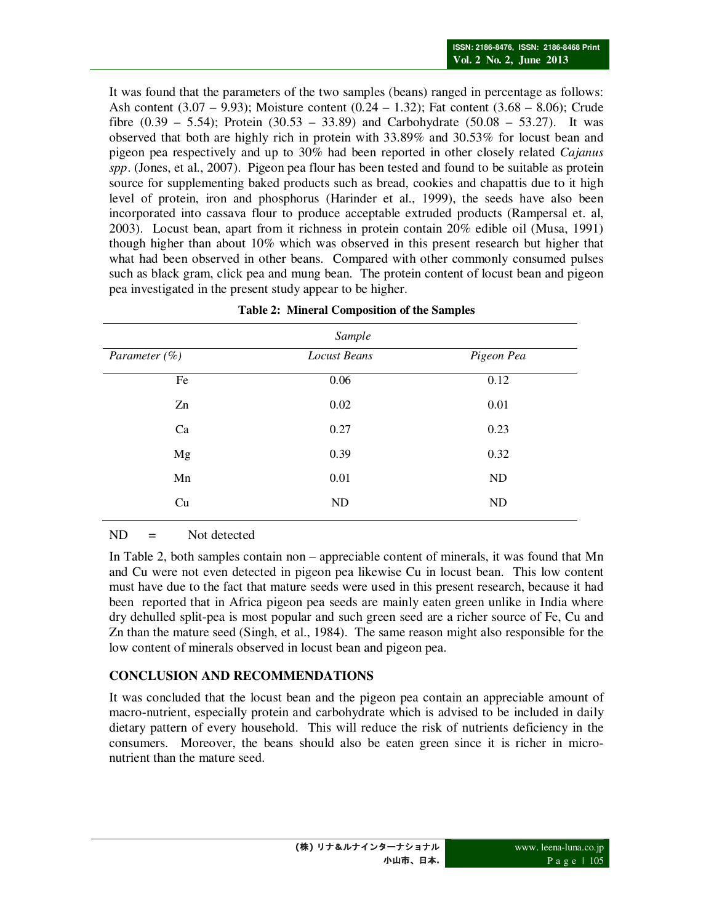It was found that the parameters of the two samples (beans) ranged in percentage as follows: Ash content  $(3.07 - 9.93)$ ; Moisture content  $(0.24 - 1.32)$ ; Fat content  $(3.68 - 8.06)$ ; Crude fibre  $(0.39 - 5.54)$ ; Protein  $(30.53 - 33.89)$  and Carbohydrate  $(50.08 - 53.27)$ . It was observed that both are highly rich in protein with 33.89% and 30.53% for locust bean and pigeon pea respectively and up to 30% had been reported in other closely related *Cajanus spp*. (Jones, et al., 2007). Pigeon pea flour has been tested and found to be suitable as protein source for supplementing baked products such as bread, cookies and chapattis due to it high level of protein, iron and phosphorus (Harinder et al., 1999), the seeds have also been incorporated into cassava flour to produce acceptable extruded products (Rampersal et. al, 2003). Locust bean, apart from it richness in protein contain 20% edible oil (Musa, 1991) though higher than about 10% which was observed in this present research but higher that what had been observed in other beans. Compared with other commonly consumed pulses such as black gram, click pea and mung bean. The protein content of locust bean and pigeon pea investigated in the present study appear to be higher.

| Sample            |                     |            |  |  |
|-------------------|---------------------|------------|--|--|
| Parameter $(\% )$ | <b>Locust Beans</b> | Pigeon Pea |  |  |
| Fe                | 0.06                | 0.12       |  |  |
| Zn                | 0.02                | 0.01       |  |  |
| Ca                | 0.27                | 0.23       |  |  |
| Mg                | 0.39                | 0.32       |  |  |
| Mn                | 0.01                | ND         |  |  |
| Cu                | ND                  | ND         |  |  |

|  |  |  | <b>Table 2: Mineral Composition of the Samples</b> |
|--|--|--|----------------------------------------------------|
|--|--|--|----------------------------------------------------|

 $ND = Not detected$ 

In Table 2, both samples contain non – appreciable content of minerals, it was found that Mn and Cu were not even detected in pigeon pea likewise Cu in locust bean. This low content must have due to the fact that mature seeds were used in this present research, because it had been reported that in Africa pigeon pea seeds are mainly eaten green unlike in India where dry dehulled split-pea is most popular and such green seed are a richer source of Fe, Cu and Zn than the mature seed (Singh, et al., 1984). The same reason might also responsible for the low content of minerals observed in locust bean and pigeon pea.

# **CONCLUSION AND RECOMMENDATIONS**

It was concluded that the locust bean and the pigeon pea contain an appreciable amount of macro-nutrient, especially protein and carbohydrate which is advised to be included in daily dietary pattern of every household. This will reduce the risk of nutrients deficiency in the consumers. Moreover, the beans should also be eaten green since it is richer in micronutrient than the mature seed.